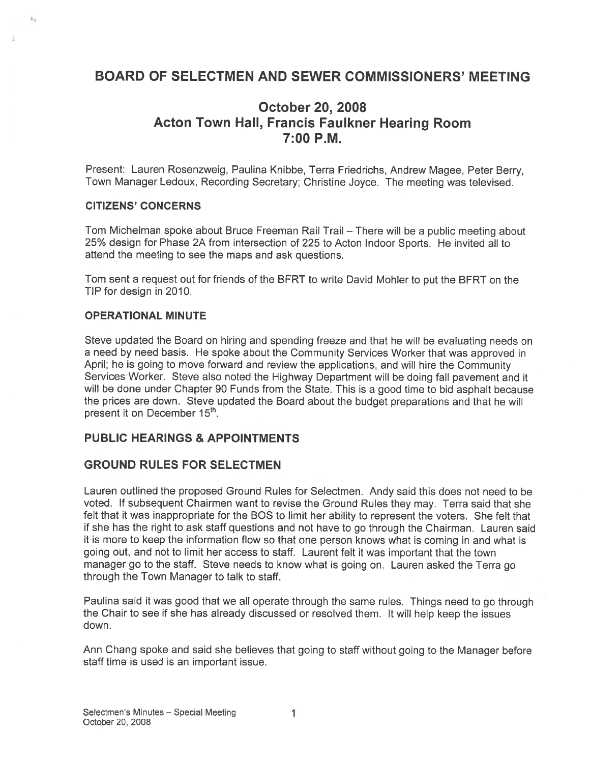# BOARD OF SELECTMEN AND SEWER COMMISSIONERS' MEETING

# October 20, 2008 Acton Town Hall, Francis Faulkner Hearing Room 7:00 P.M.

Present: Lauren Rosenzweig, Paulina Knibbe, Terra Friedrichs, Andrew Magee, Peter Berry, Town Manager Ledoux, Recording Secretary; Christine Joyce. The meeting was televised.

#### CITIZENS' CONCERNS

 $45$ 

Tom Michelman spoke about Bruce Freeman Rail Trail — There will be <sup>a</sup> public meeting about 25% design for Phase 2A from intersection of 225 to Acton Indoor Sports. He invited all to attend the meeting to see the maps and ask questions.

Tom sent <sup>a</sup> reques<sup>t</sup> out for friends of the BFRT to write David Mohler to pu<sup>t</sup> the BFRT on the TIP for design in 2010.

#### OPERATIONAL MINUTE

Steve updated the Board on hiring and spending freeze and that he will be evaluating needs on <sup>a</sup> need by need basis. He spoke about the Community Services Worker that was approve<sup>d</sup> in April; he is going to move forward and review the applications, and will hire the Community Services Worker. Steve also noted the Highway Department will be doing fall pavemen<sup>t</sup> and it will be done under Chapter 90 Funds from the State. This is <sup>a</sup> good time to bid asphalt because the prices are down. Steve updated the Board about the budget preparations and that he will present it on December 15<sup>th</sup>.

#### PUBLIC HEARINGS & APPOINTMENTS

#### GROUND RULES FOR SELECTMEN

Lauren outlined the proposed Ground Rules for Selectmen. Andy said this does not need to be voted. If subsequent Chairmen want to revise the Ground Rules they may. Terra said that she felt that it was inappropriate for the BOS to limit her ability to represen<sup>t</sup> the voters. She felt that if she has the right to ask staff questions and not have to go through the Chairman. Lauren said it is more to keep the information flow so that one person knows what is coming in and what is going out, and not to limit her access to staff. Laurent felt it was important that the town manager go to the staff. Steve needs to know what is going on. Lauren asked the Terra go through the Town Manager to talk to staff.

Paulina said it was goo<sup>d</sup> that we all operate through the same rules. Things need to go through the Chair to see if she has already discussed or resolved them. It will help keep the issues down.

Ann Chang spoke and said she believes that going to staff without going to the Manager before staff time is used is an important issue.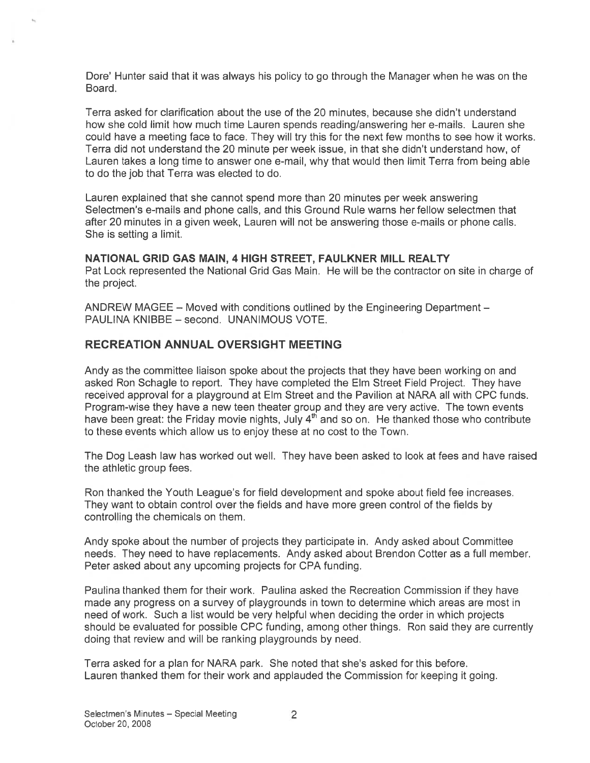Dote' Hunter said that it was always his policy to go through the Manager when he was on the Board.

Terra asked for clarification about the use of the 20 minutes, because she didn't understand how she cold limit how much time Lauren spends reading/answering her e-mails. Lauren she could have <sup>a</sup> meeting face to face. They will try this for the next few months to see how it works. Terra did not understand the 20 minute per week issue, in that she didn't understand how, of Lauren takes <sup>a</sup> long time to answer one e-mail, why that would then limit Terra from being able to do the job that Terra was elected to do.

Lauren explained that she cannot spend more than 20 minutes per week answering Selectmen's e-mails and phone calls, and this Ground Rule warns her fellow selectmen that after 20 minutes in <sup>a</sup> given week, Lauren will not be answering those e-mails or phone calls. She is setting <sup>a</sup> limit.

#### NATIONAL GRID GAS MAIN, 4 HIGH STREET, FAULKNER MILL REALTY

Pat Lock represented the National Grid Gas Main. He will be the contractor on site in charge of the project.

ANDREW MAGEE — Moved with conditions outlined by the Engineering Department — PAULINA KNIBBE — second. UNANIMOUS VOTE.

### RECREATION ANNUAL OVERSIGHT MEETING

Andy as the committee liaison spoke about the projects that they have been working on and asked Ron Schagle to report. They have completed the Elm Street Field Project. They have received approval for <sup>a</sup> playground at Elm Street and the Pavilion at NARA all with CPC funds. Program-wise they have <sup>a</sup> new teen theater group and they are very active, The town events have been great: the Friday movie nights, July  $4<sup>th</sup>$  and so on. He thanked those who contribute to these events which allow us to enjoy these at no cost to the Town.

The Dog Leash law has worked out well. They have been asked to look at fees and have raised the athletic group fees.

Ron thanked the Youth League's for field development and spoke about field fee increases. They want to obtain control over the fields and have more green control of the fields by controlling the chemicals on them.

Andy spoke about the number of projects they participate in. Andy asked about Committee needs. They need to have replacements. Andy asked about Brendon Cotter as <sup>a</sup> full member. Peter asked about any upcoming projects for CPA funding.

Paulina thanked them for their work. Paulina asked the Recreation Commission if they have made any progress on <sup>a</sup> survey of playgrounds in town to determine which areas are most in need of work. Such <sup>a</sup> list would be very helpful when deciding the order in which projects should be evaluated for possible CPC funding, among other things. Ron said they are currently doing that review and will be ranking playgrounds by need.

Terra asked for <sup>a</sup> plan for NARA park. She noted that she's asked for this before. Lauren thanked them for their work and applauded the Commission for keeping it going.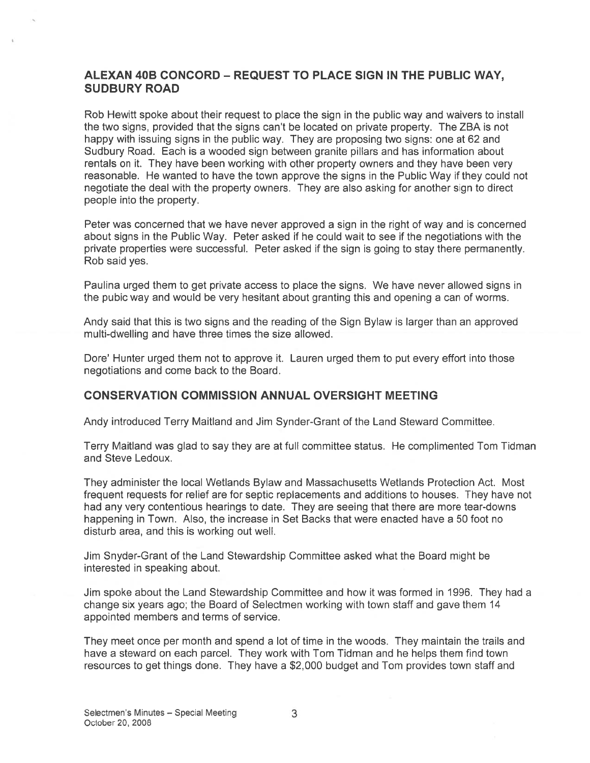### ALEXAN 40B CONCORD - REQUEST TO PLACE SIGN IN THE PUBLIC WAY, SUDBURY ROAD

Rob Hewitt spoke about their reques<sup>t</sup> to place the sign in the public way and waivers to install the two signs, provided that the signs can't be located on private property. The ZBA is not happy with issuing signs in the public way. They are proposing two signs: one at 62 and Sudbury Road. Each is <sup>a</sup> wooded sign between granite pillars and has information about rentals on it. They have been working with other property owners and they have been very reasonable. He wanted to have the town approve the signs in the Public Way if they could not negotiate the deal with the property owners. They are also asking for another sign to direct people into the property.

Peter was concerned that we have never approved a sign in the right of way and is concerned about signs in the Public Way. Peter asked if he could wait to see if the negotiations with the private properties were successful. Peter asked if the sign is going to stay there permanently. Rob said yes.

Paulina urged them to ge<sup>t</sup> private access to place the signs. We have never allowed signs in the pubic way and would be very hesitant about granting this and opening <sup>a</sup> can of worms.

Andy said that this is two signs and the reading of the Sign Bylaw is larger than an approved multi-dwelling and have three times the size allowed.

Dore' Hunter urged them not to approve it. Lauren urged them to put every effort into those negotiations and come back to the Board.

### CONSERVATION COMMISSION ANNUAL OVERSIGHT MEETING

Andy introduced Terry Maitland and Jim Synder-Grant of the Land Steward Committee.

Terry Maitland was glad to say they are at full committee status. He complimented Tom Tidman and Steve Ledoux.

They administer the local Wetlands Bylaw and Massachusetts Wetlands Protection Act. Most frequent requests for relief are for septic replacements and additions to houses. They have not had any very contentious hearings to date. They are seeing that there are more tear-downs happening in Town. Also, the increase in Set Backs that were enacted have <sup>a</sup> 50 foot no disturb area, and this is working out well.

Jim Snyder-Grant of the Land Stewardship Committee asked what the Board might be interested in speaking about.

Jim spoke about the Land Stewardship Committee and how it was formed in 1996. They had <sup>a</sup> change six years ago; the Board of Selectmen working with town staff and gave them 14 appointed members and terms of service.

They meet once per month and spend <sup>a</sup> lot of time in the woods. They maintain the trails and have <sup>a</sup> steward on each parcel. They work with Tom Tidman and he helps them find town resources to ge<sup>t</sup> things done. They have <sup>a</sup> \$2,000 budget and Tom provides town staff and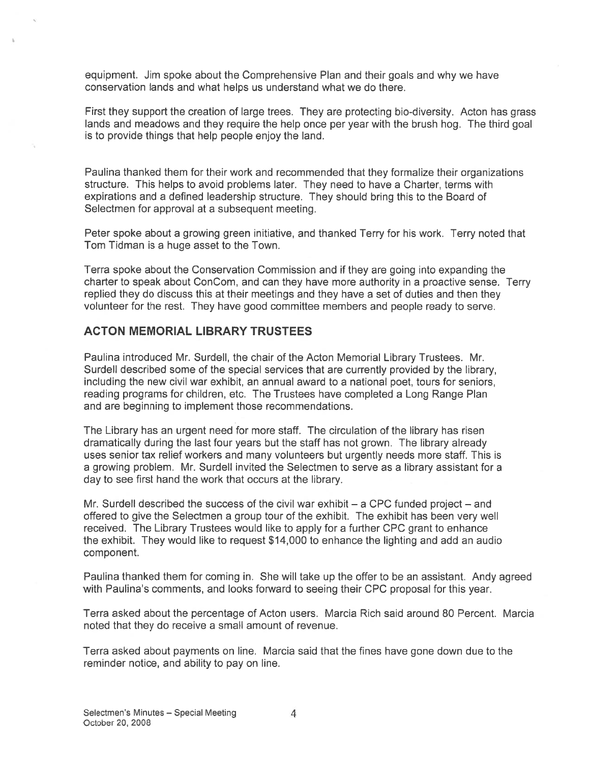equipment. Jim spoke about the Comprehensive Plan and their goals and why we have conservation lands and what helps us understand what we do there.

First they suppor<sup>t</sup> the creation of large trees. They are protecting bio-diversity. Acton has grass lands and meadows and they require the help once per year with the brush hog. The third goal is to provide things that help people enjoy the land.

Pauline thanked them for their work and recommended that they formalize their organizations structure. This helps to avoid problems later. They need to have <sup>a</sup> Charter, terms with expirations and <sup>a</sup> defined leadership structure. They should bring this to the Board of Selectmen for approval at a subsequent meeting.

Peter spoke about <sup>a</sup> growing green initiative, and thanked Terry for his work. Terry noted that Tom Tidman is <sup>a</sup> huge asset to the Town.

Terra spoke about the Conservation Commission and if they are going into expanding the charter to speak about ConCom, and can they have more authority in <sup>a</sup> proactive sense. Terry replied they do discuss this at their meetings and they have <sup>a</sup> set of duties and then they volunteer for the test. They have good committee members and people ready to serve.

#### ACTON MEMORIAL LIBRARY TRUSTEES

Paulina introduced Mr. Surdell, the chair of the Acton Memorial Library Trustees. Mr. Surdell described some of the special services that are currently provided by the library, including the new civil war exhibit, an annual award to <sup>a</sup> national poet, tours for seniors, reading programs for children, etc. The Trustees have completed <sup>a</sup> Long Range Plan and are beginning to implement those recommendations.

The Library has an urgen<sup>t</sup> need for more staff. The circulation of the library has risen dramatically during the last four years but the staff has not grown. The library already uses senior tax relief workers and many volunteers but urgently needs more staff. This is <sup>a</sup> growing problem. Mr. Surdell invited the Selectmen to serve as <sup>a</sup> library assistant for <sup>a</sup> day to see first hand the work that occurs at the library.

Mr. Surdell described the success of the civil war exhibit  $-$  a CPC funded project  $-$  and offered to give the Selectmen <sup>a</sup> group tour of the exhibit. The exhibit has been very well received. The Library Trustees would like to apply for <sup>a</sup> further CPC gran<sup>t</sup> to enhance the exhibit. They would like to reques<sup>t</sup> \$14,000 to enhance the lighting and add an audio component.

Paulina thanked them for coming in. She will take up the offer to be an assistant. Andy agreed with Pauline's comments, and looks forward to seeing their CPC proposal for this year.

Terra asked about the percentage of Acton users. Marcia Rich said around 80 Percent. Marcia noted that they do receive <sup>a</sup> small amount of revenue.

Terra asked about payments on line. Marcia said that the fines have gone down due to the reminder notice, and ability to pay on line.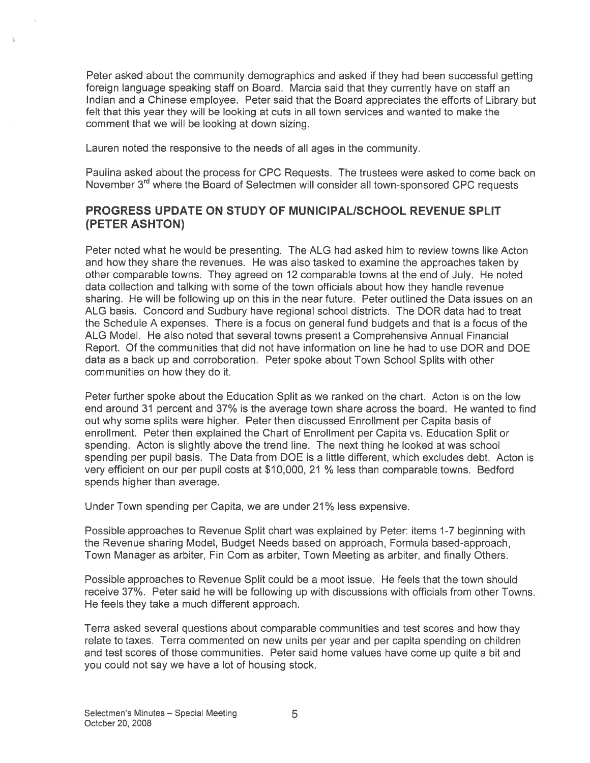Peter asked about the community demographics and asked if they had been successful getting foreign language speaking staff on Board. Marcia said that they currently have on staff an Indian and <sup>a</sup> Chinese employee. Peter said that the Board appreciates the efforts of Library but felt that this year they will be looking at cuts in all town services and wanted to make the comment that we will be looking at down sizing.

Lauren noted the responsive to the needs of all ages in the community.

Paulina asked about the process for CPC Requests. The trustees were asked to come back on November 3<sup>rd</sup> where the Board of Selectmen will consider all town-sponsored CPC requests

## PROGRESS UPDATE ON STUDY OF MUNICIPALISCHOOL REVENUE SPLIT (PETER ASHTON)

Peter noted what he would be presenting. The ALG had asked him to review towns like Acton and how they share the revenues. He was also tasked to examine the approaches taken by other comparable towns. They agreed on 12 comparable towns at the end of July. He noted data collection and talking with some of the town officials about how they handle revenue sharing. He will be following up on this in the near future. Peter outlined the Data issues on an ALG basis. Concord and Sudbury have regional school districts. The DOR data had to treat the Schedule A expenses. There is <sup>a</sup> focus on general fund budgets and that is <sup>a</sup> focus of the ALG Model. He also noted that several towns presen<sup>t</sup> <sup>a</sup> Comprehensive Annual Financial Report. Of the communities that did not have information on line he had to use DOR and DOE data as <sup>a</sup> back up and corroboration. Peter spoke about Town School Splits with other communities on how they do it.

Peter further spoke about the Education Split as we ranked on the chart. Acton is on the low end around 31 percen<sup>t</sup> and 37% is the average town share across the board. He wanted to find out why some splits were higher. Peter then discussed Enrollment per Capita basis of enrollment. Peter then explained the Chart of Enrollment per Capita vs. Education Split or spending. Acton is slightly above the trend line. The next thing he looked at was school spending per pupil basis. The Data from DOE is <sup>a</sup> little different, which excludes debt. Acton is very efficient on our per pupil costs at \$10,000, 21 ¾ less than comparable towns. Bedford spends higher than average.

Under Town spending per Capita, we are under 21% less expensive.

Possible approaches to Revenue Split chart was explained by Peter: items 1-7 beginning with the Revenue sharing Model, Budget Needs based on approach, Formula based-approach, Town Manager as arbiter, Fin Com as arbiter, Town Meeting as arbiter, and finally Others.

Possible approaches to Revenue Split could be <sup>a</sup> moot issue. He feels that the town should receive 37%. Peter said he will be following up with discussions with officials from other Towns. He feels they take <sup>a</sup> much different approach.

Terra asked several questions about comparable communities and test scores and how they relate to taxes. Terra commented on new units per year and per capita spending on children and test scores of those communities. Peter said home values have come up quite <sup>a</sup> bit and you could not say we have <sup>a</sup> lot of housing stock.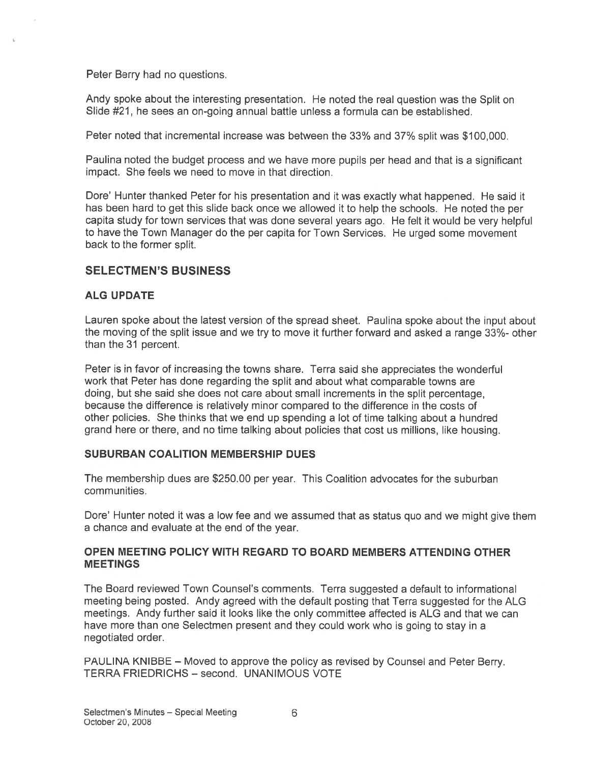Peter Berry had no questions.

Andy spoke about the interesting presentation. He noted the real question was the Split on Slide #21 he sees an on-going annual battle unless <sup>a</sup> formula can be established.

Peter noted that incremental increase was between the 33% and 37% split was \$100,000.

Paulina noted the budget process and we have more pupils per head and that is <sup>a</sup> significant impact. She feels we need to move in that direction.

Dore' Hunter thanked Peter for his presentation and it was exactly what happened. He said it has been hard to ge<sup>t</sup> this slide back once we allowed it to help the schools. He noted the per capita study for town services that was done several years ago. He felt it would be very helpful to have the Town Manager do the per capita for Town Services. He urge<sup>d</sup> some movement back to the former split.

### SELECTMEN'S BUSINESS

#### ALG UPDATE

Lauren spoke about the latest version of the spread sheet. Paulina spoke about the input about the moving of the split issue and we try to move it further forward and asked <sup>a</sup> range 33%- other than the 31 percent.

Peter is in favor of increasing the towns share. Terra said she appreciates the wonderful work that Peter has done regarding the split and about what comparable towns are doing, but she said she does not care about small increments in the split percentage, because the difference is relatively minor compared to the difference in the costs of other policies. She thinks that we end up spending <sup>a</sup> lot of time talking about <sup>a</sup> hundred grand here or there, and no time talking about policies that cost us millions, like housing.

#### SUBURBAN COALITION MEMBERSHIP DUES

The membership dues are \$250.00 per year. This Coalition advocates for the suburban communities.

Dore' Hunter noted it was <sup>a</sup> low fee and we assumed that as status quo and we might give them <sup>a</sup> chance and evaluate at the end of the year.

#### OPEN MEETING POLICY WITH REGARD TO BOARD MEMBERS ATTENDING OTHER **MEETINGS**

The Board reviewed Town Counsel's comments. Terra suggested <sup>a</sup> default to informational meeting being posted. Andy agreed with the default posting that Terra suggested for the ALG meetings. Andy further said it looks like the only committee affected is ALG and that we can have more than one Selectmen presen<sup>t</sup> and they could work who is going to stay in <sup>a</sup> negotiated order.

PAULINA KNIBBE — Moved to approve the policy as revised by Counsel and Peter Berry. TERRA FRIEDRICHS — second. UNANIMOUS VOTE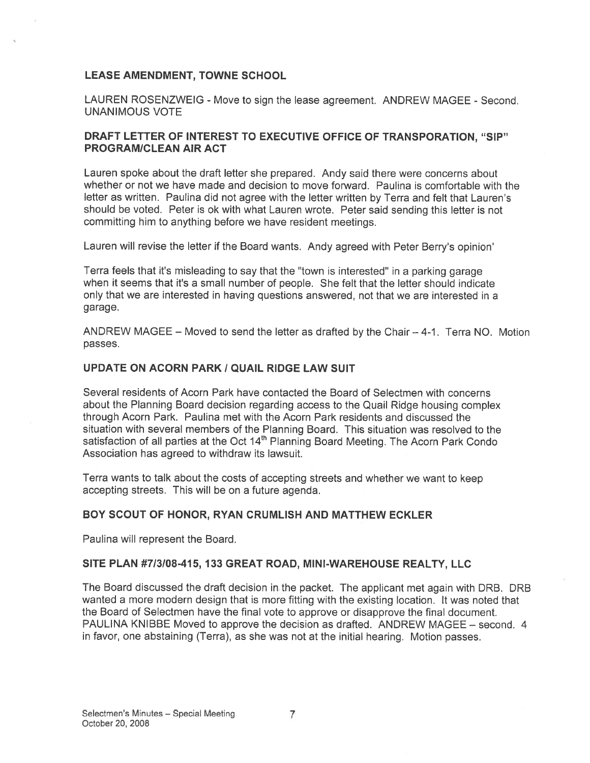#### LEASE AMENDMENT, TOWNE SCHOOL

LAUREN ROSENZWEIG - Move to sign the lease agreement. ANDREW MAGEE - Second. UNANIMOUS VOTE

#### DRAFT LETTER OF INTEREST TO EXECUTIVE OFFICE OF TRANSPORATION, "SIP" PROGRAM/CLEAN AIR ACT

Lauren spoke about the draft letter she prepared. Andy said there were concerns about whether or not we have made and decision to move forward. Paulina is comfortable with the letter as written. Paulina did not agree with the letter written by Terra and felt that Lauren's should be voted. Peter is ok with what Lauren wrote. Peter said sending this letter is not committing him to anything before we have resident meetings.

Lauren will revise the letter if the Board wants. Andy agreed with Peter Berry's opinion'

Terra feels that it's misleading to say that the "town is interested" in <sup>a</sup> parking garage when it seems that it's <sup>a</sup> small number of people. She felt that the letter should indicate only that we are interested in having questions answered, not that we are interested in <sup>a</sup> garage.

ANDREW MAGEE — Moved to send the letter as drafted by the Chair — 4-1. Terra NO. Motion passes.

#### UPDATE ON ACORN PARK I QUAIL RIDGE LAW SUIT

Several residents of Acorn Park have contacted the Board of Selectmen with concerns about the Planning Board decision regarding access to the Quail Ridge housing complex through Acorn Park. Paulina met with the Acorn Park residents and discussed the situation with several members of the Planning Board. This situation was resolved to the satisfaction of all parties at the Oct 14<sup>th</sup> Planning Board Meeting. The Acorn Park Condo Association has agreed to withdraw its lawsuit.

Terra wants to talk about the costs of accepting streets and whether we want to keep accepting streets. This will be on <sup>a</sup> future agenda.

#### BOY SCOUT OF HONOR, RYAN CRUMLISH AND MATTHEW ECKLER

Paulina will represen<sup>t</sup> the Board.

#### SITE PLAN #7/3/08-415, 133 GREAT ROAD, MINI-WAREHOUSE REALTY, LLC

The Board discussed the draft decision in the packet. The applicant met again with DRB. DRB wanted <sup>a</sup> more modern design that is more fitting with the existing location. It was noted that the Board of Selectmen have the final vote to approve or disapprove the final document. PAULINA KNIBBE Moved to approve the decision as drafted. ANDREW MAGEE — second. 4 in favor, one abstaining (Terra), as she was not at the initial hearing. Motion passes.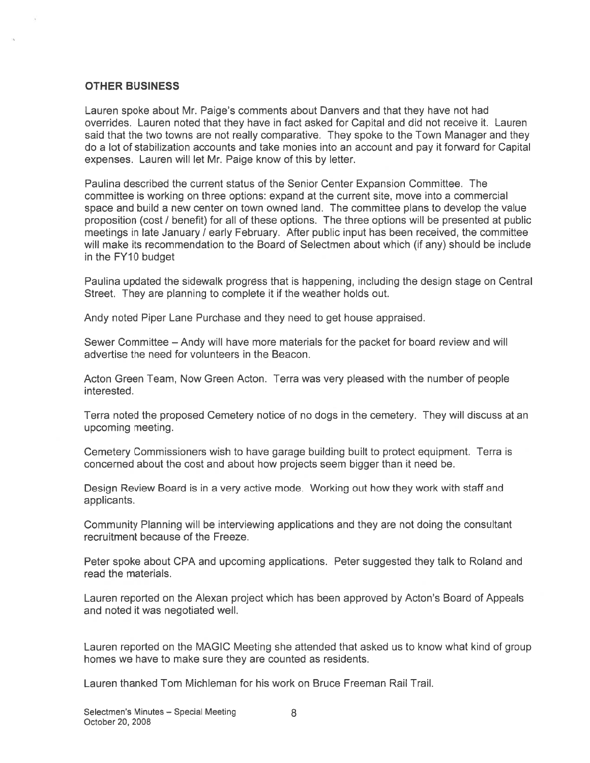#### OTHER BUSINESS

Lauren spoke about Mr. Paige's comments about Danvers and that they have not had overrides. Lauren noted that they have in fact asked for Capital and did not receive it. Lauren said that the two towns are not really comparative. They spoke to the Town Manager and they do <sup>a</sup> lot of stabilization accounts and take monies into an account and pay it forward for Capital expenses. Lauren will let Mr. Paige know of this by letter.

Paulina described the current status of the Senior Center Expansion Committee. The committee is working on three options: expand at the current site, move into <sup>a</sup> commercial space and build <sup>a</sup> new center on town owned land. The committee plans to develop the value proposition (cost / benefit) for all of these options. The three options will be presented at public meetings in late January / early February. After public input has been received, the committee will make its recommendation to the Board of Selectmen about which (if any) should be include in the FY10 budget

Paulina updated the sidewalk progress that is happening, including the design stage on Central Street. They are planning to complete it if the weather holds out.

Andy noted Piper Lane Purchase and they need to ge<sup>t</sup> house appraised.

Sewer Committee — Andy will have more materials for the packet for board review and will advertise the need for volunteers in the Beacon.

Acton Green Team, Now Green Acton. Terra was very pleased with the number of people interested.

Terra noted the proposed Cemetery notice of no dogs in the cemetery. They will discuss at an upcoming meeting.

Cemetery Commissioners wish to have garage building built to protect equipment. Terra is concerned about the cost and about how projects seem bigger than it need be.

Design Review Board is in <sup>a</sup> very active mode. Working out how they work with staff and applicants.

Community Planning will be interviewing applications and they are not doing the consultant recruitment because of the Freeze.

Peter spoke about CPA and upcoming applications. Peter suggested they talk to Roland and read the materials.

Lauren reported on the Alexan project which has been approved by Acton's Board of Appeals and noted it was negotiated well.

Lauren reported on the MAGIC Meeting she attended that asked us to know what kind of group homes we have to make sure they are counted as residents.

Lauren thanked Tom Michieman for his work on Bruce Freeman Rail Trail.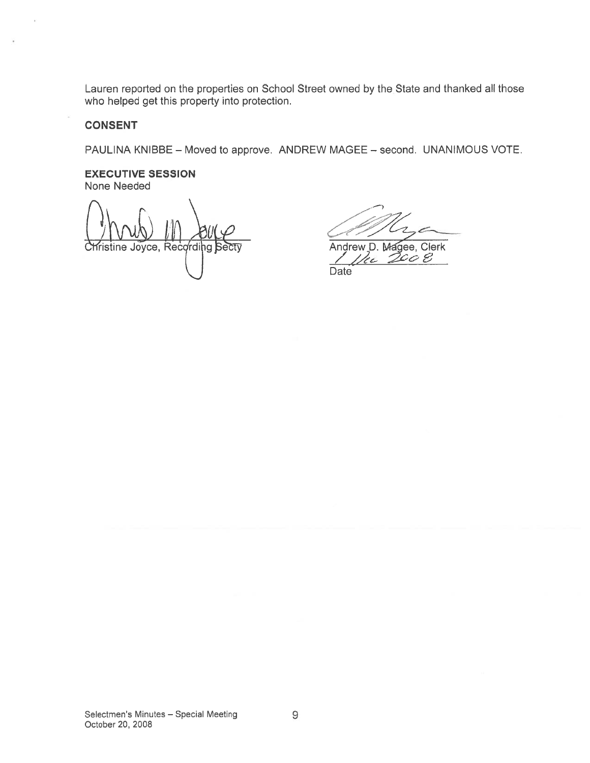Lauren reported on the properties on School Street owned by the State and thanked all those who helped ge<sup>t</sup> this property into protection. on the properties on School Street owned by the State and this property into protection.<br>
E – Moved to approve. ANDREW MAGEE – second. UNAI<br>
SSION<br>
ANDREW MAGEE – second. UNAI

#### **CONSENT**

PAULINA KNIBBE — Moved to approve. ANDREW MAGEE — second. UNANIMOUS VOTE.

#### EXECUTIVE SESSION None Needed

rie Joyce, Recording Secty<br>Andrew D. Magee, Clerk<br>Andrew D. Magee, Clerk

Date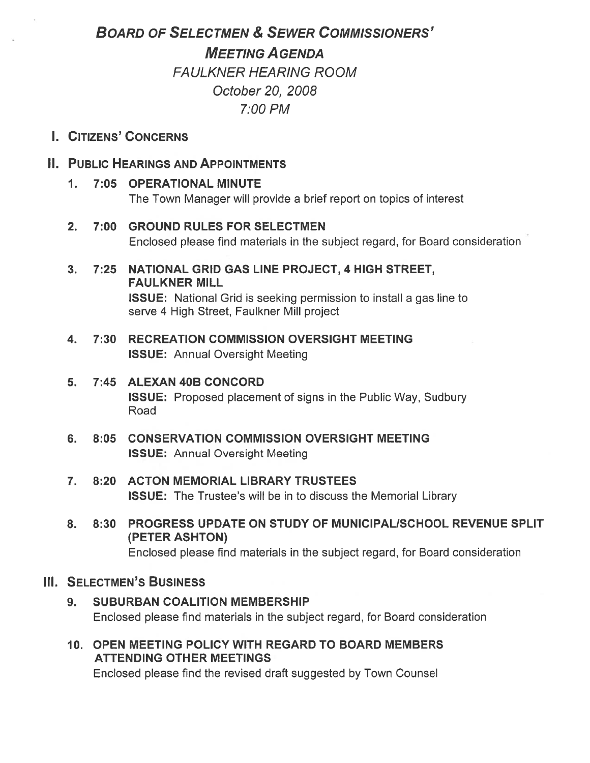# BOARD OF SELECTMEN & SEWER COMMISSIONERS'

MEETING A GENDA

FAULKNER HEARING ROOM October 20, 2Q08 7:00 PM

I. CITIZENS' CONCERNS

# II. PUBLIC HEARINGS AND APPOINTMENTS

- 1. 7:05 OPERATIONAL MINUTE The Town Manager will provide <sup>a</sup> brief repor<sup>t</sup> on topics of interest
- 2. 7:00 GROUND RULES FOR SELECTMEN Enclosed please find materials in the subject regard, for Board consideration
- 3. 7:25 NATIONAL GRID GAS LINE PROJECT, 4 HIGH STREET, FAULKNER MILL ISSUE: National Grid is seeking permission to install <sup>a</sup> gas line to serve 4 High Street, Faulkner Mill project
- 4. 7:30 RECREATION COMMISSION OVERSIGHT MEETING ISSUE: Annual Oversight Meeting
- 5. 7:45 ALEXAN 40B CONCORD ISSUE: Proposed placement of signs in the Public Way, Sudbury Road
- 6. 8:05 CONSERVATION COMMISSION OVERSIGHT MEETING ISSUE: Annual Oversight Meeting
- 7. 8:20 ACTON MEMORIAL LIBRARY TRUSTEES ISSUE: The Trustee's will be in to discuss the Memorial Library
- 8. 8:30 PROGRESS UPDATE ON STUDY OF MUNICIPAL/SCHOOL REVENUE SPLIT (PETER ASHTON) Enclosed please find materials in the subject regard, for Board consideration

# III. SELECTMEN'S BUSINESS

- 9. SUBURBAN COALITION MEMBERSHIP Enclosed please find materials in the subject regard, for Board consideration
- 10. OPEN MEETING POLICY WITH REGARD TO BOARD MEMBERS ATTENDING OTHER MEETINGS

Enclosed please find the revised draft suggested by Town Counsel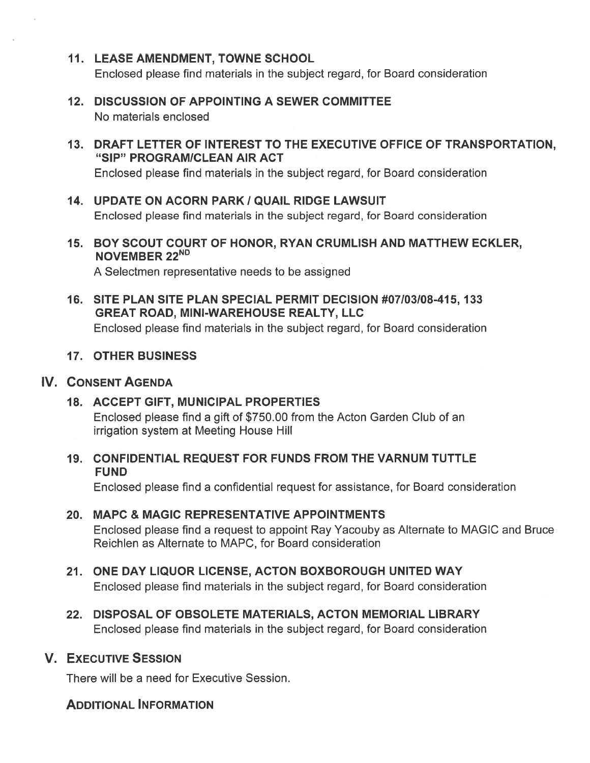- 11. LEASE AMENDMENT, TOWNE SCHOOL Enclosed please find materials in the subject regard, for Board consideration
- 12. DISCUSSION OF APPOINTING A SEWER COMMITTEE No materials enclosed
- 13. DRAFT LETTER OF INTEREST TO THE EXECUTIVE OFFICE OF TRANSPORTATION, "SIP" PROGRAMICLEAN AIR ACT

Enclosed please find materials in the subject regard, for Board consideration

- 14. UPDATE ON ACORN PARK / QUAIL RIDGE LAWSUIT Enclosed please find materials in the subject regard, for Board consideration
- 15. BOY SCOUT COURT OF HONOR, RYAN CRUMLISH AND MATTHEW ECKLER, NOVEMBER 22ND

A Selectmen representative needs to be assigned

16. SITE PLAN SITE PLAN SPECIAL PERMIT DECISION #07/03/08-415, 133 GREAT ROAD, MINI-WAREHOUSE REALTY, LLC Enclosed please find materials in the subject regard, for Board consideration

# 17. OTHER BUSINESS

### IV. CONSENT AGENDA

### 18. ACCEPT GIFT, MUNICIPAL PROPERTIES

Enclosed please find <sup>a</sup> gift of \$750.00 from the Acton Garden Club of an irrigation system at Meeting House Hill

19. CONFIDENTIAL REQUEST FOR FUNDS FROM THE VARNUM TUTTLE **FUND** 

Enclosed please find <sup>a</sup> confidential reques<sup>t</sup> for assistance, for Board consideration

# 20. MAPC & MAGIC REPRESENTATIVE APPOINTMENTS

Enclosed please find <sup>a</sup> reques<sup>t</sup> to appoint Ray Yacouby as Alternate to MAGIC and Bruce Reichien as Alternate to MAPC, for Board consideration

- 21. ONE DAY LIQUOR LICENSE, ACTON BOXBOROUGH UNITED WAY Enclosed please find materials in the subject regard, for Board consideration
- 22. DISPOSAL OF OBSOLETE MATERIALS, ACTON MEMORIAL LIBRARY Enclosed please find materials in the subject regard, for Board consideration

# V. EXECUTIVE SESSION

There will be <sup>a</sup> need for Executive Session.

# ADDITIONAL INFORMATION